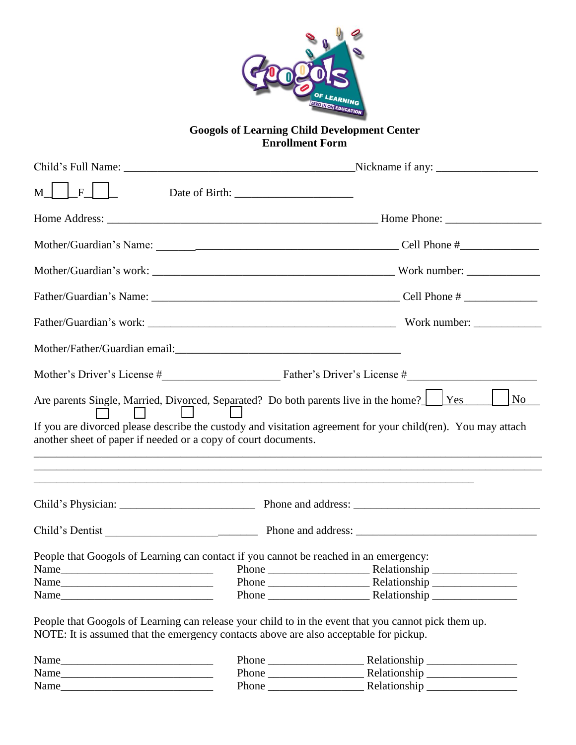

## **Googols of Learning Child Development Center Enrollment Form**

| $M$     F                                                                                                                                                               |                                                                                                                                                                                                           |  |
|-------------------------------------------------------------------------------------------------------------------------------------------------------------------------|-----------------------------------------------------------------------------------------------------------------------------------------------------------------------------------------------------------|--|
|                                                                                                                                                                         |                                                                                                                                                                                                           |  |
|                                                                                                                                                                         |                                                                                                                                                                                                           |  |
|                                                                                                                                                                         |                                                                                                                                                                                                           |  |
|                                                                                                                                                                         |                                                                                                                                                                                                           |  |
|                                                                                                                                                                         |                                                                                                                                                                                                           |  |
|                                                                                                                                                                         |                                                                                                                                                                                                           |  |
|                                                                                                                                                                         |                                                                                                                                                                                                           |  |
|                                                                                                                                                                         |                                                                                                                                                                                                           |  |
|                                                                                                                                                                         | Are parents Single, Married, Divorced, Separated? Do both parents live in the home?   Yes<br>If you are divorced please describe the custody and visitation agreement for your child(ren). You may attach |  |
|                                                                                                                                                                         |                                                                                                                                                                                                           |  |
|                                                                                                                                                                         |                                                                                                                                                                                                           |  |
|                                                                                                                                                                         |                                                                                                                                                                                                           |  |
|                                                                                                                                                                         |                                                                                                                                                                                                           |  |
| another sheet of paper if needed or a copy of court documents.<br>People that Googols of Learning can contact if you cannot be reached in an emergency:<br>Name<br>Name | No                                                                                                                                                                                                        |  |

| Name | Phone | Relationship |
|------|-------|--------------|
| Name | Phone | Relationship |
| Name | Phone | Relationship |